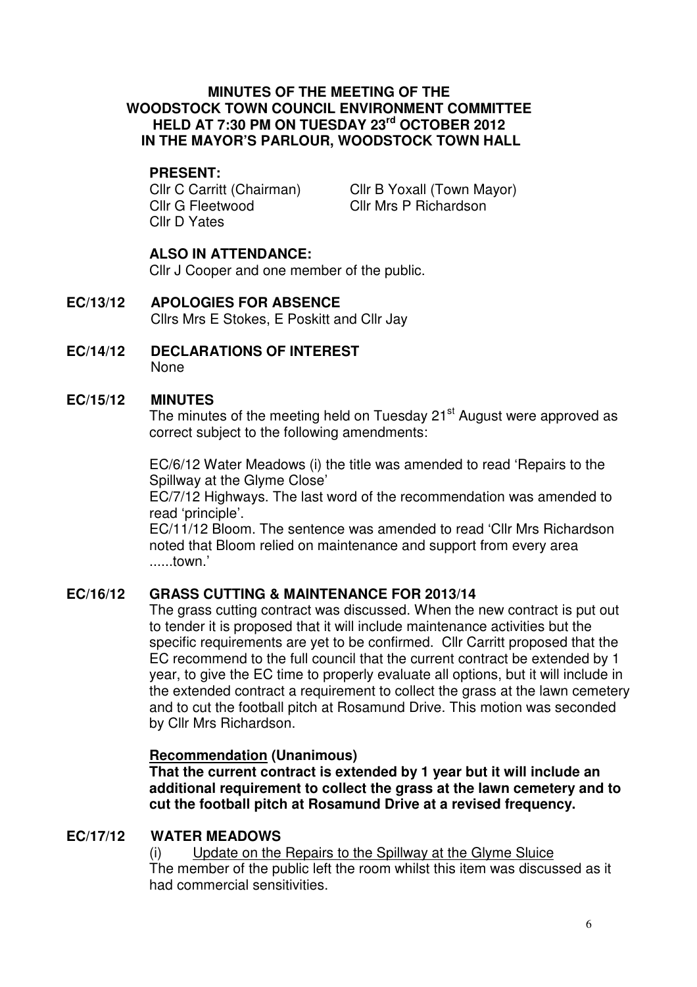### **MINUTES OF THE MEETING OF THE WOODSTOCK TOWN COUNCIL ENVIRONMENT COMMITTEE HELD AT 7:30 PM ON TUESDAY 23rd OCTOBER 2012 IN THE MAYOR'S PARLOUR, WOODSTOCK TOWN HALL**

### **PRESENT:**

Cllr C Carritt (Chairman) Cllr G Fleetwood Cllr D Yates

Cllr B Yoxall (Town Mayor) Cllr Mrs P Richardson

# **ALSO IN ATTENDANCE:**

Cllr J Cooper and one member of the public.

- **EC/13/12 APOLOGIES FOR ABSENCE** Cllrs Mrs E Stokes, E Poskitt and Cllr Jay
- **EC/14/12 DECLARATIONS OF INTEREST** None

### **EC/15/12 MINUTES**

The minutes of the meeting held on Tuesday  $21<sup>st</sup>$  August were approved as correct subject to the following amendments:

EC/6/12 Water Meadows (i) the title was amended to read 'Repairs to the Spillway at the Glyme Close'

EC/7/12 Highways. The last word of the recommendation was amended to read 'principle'.

EC/11/12 Bloom. The sentence was amended to read 'Cllr Mrs Richardson noted that Bloom relied on maintenance and support from every area ......town.'

### **EC/16/12 GRASS CUTTING & MAINTENANCE FOR 2013/14**

The grass cutting contract was discussed. When the new contract is put out to tender it is proposed that it will include maintenance activities but the specific requirements are yet to be confirmed. Cllr Carritt proposed that the EC recommend to the full council that the current contract be extended by 1 year, to give the EC time to properly evaluate all options, but it will include in the extended contract a requirement to collect the grass at the lawn cemetery and to cut the football pitch at Rosamund Drive. This motion was seconded by Cllr Mrs Richardson.

### **Recommendation (Unanimous)**

**That the current contract is extended by 1 year but it will include an additional requirement to collect the grass at the lawn cemetery and to cut the football pitch at Rosamund Drive at a revised frequency.**

### **EC/17/12 WATER MEADOWS**

(i) Update on the Repairs to the Spillway at the Glyme Sluice The member of the public left the room whilst this item was discussed as it had commercial sensitivities.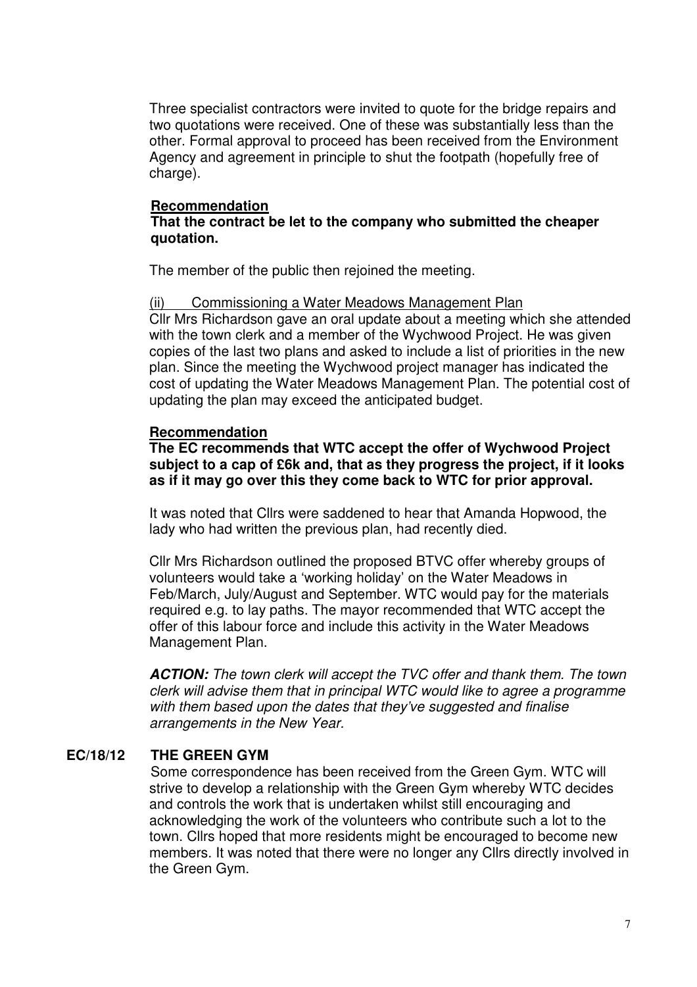Three specialist contractors were invited to quote for the bridge repairs and two quotations were received. One of these was substantially less than the other. Formal approval to proceed has been received from the Environment Agency and agreement in principle to shut the footpath (hopefully free of charge).

#### **Recommendation**

### **That the contract be let to the company who submitted the cheaper quotation.**

The member of the public then rejoined the meeting.

#### (ii) Commissioning a Water Meadows Management Plan

Cllr Mrs Richardson gave an oral update about a meeting which she attended with the town clerk and a member of the Wychwood Project. He was given copies of the last two plans and asked to include a list of priorities in the new plan. Since the meeting the Wychwood project manager has indicated the cost of updating the Water Meadows Management Plan. The potential cost of updating the plan may exceed the anticipated budget.

### **Recommendation**

**The EC recommends that WTC accept the offer of Wychwood Project subject to a cap of £6k and, that as they progress the project, if it looks as if it may go over this they come back to WTC for prior approval.**

It was noted that Cllrs were saddened to hear that Amanda Hopwood, the lady who had written the previous plan, had recently died.

Cllr Mrs Richardson outlined the proposed BTVC offer whereby groups of volunteers would take a 'working holiday' on the Water Meadows in Feb/March, July/August and September. WTC would pay for the materials required e.g. to lay paths. The mayor recommended that WTC accept the offer of this labour force and include this activity in the Water Meadows Management Plan.

**ACTION:** The town clerk will accept the TVC offer and thank them. The town clerk will advise them that in principal WTC would like to agree a programme with them based upon the dates that they've suggested and finalise arrangements in the New Year.

### **EC/18/12 THE GREEN GYM**

Some correspondence has been received from the Green Gym. WTC will strive to develop a relationship with the Green Gym whereby WTC decides and controls the work that is undertaken whilst still encouraging and acknowledging the work of the volunteers who contribute such a lot to the town. Cllrs hoped that more residents might be encouraged to become new members. It was noted that there were no longer any Cllrs directly involved in the Green Gym.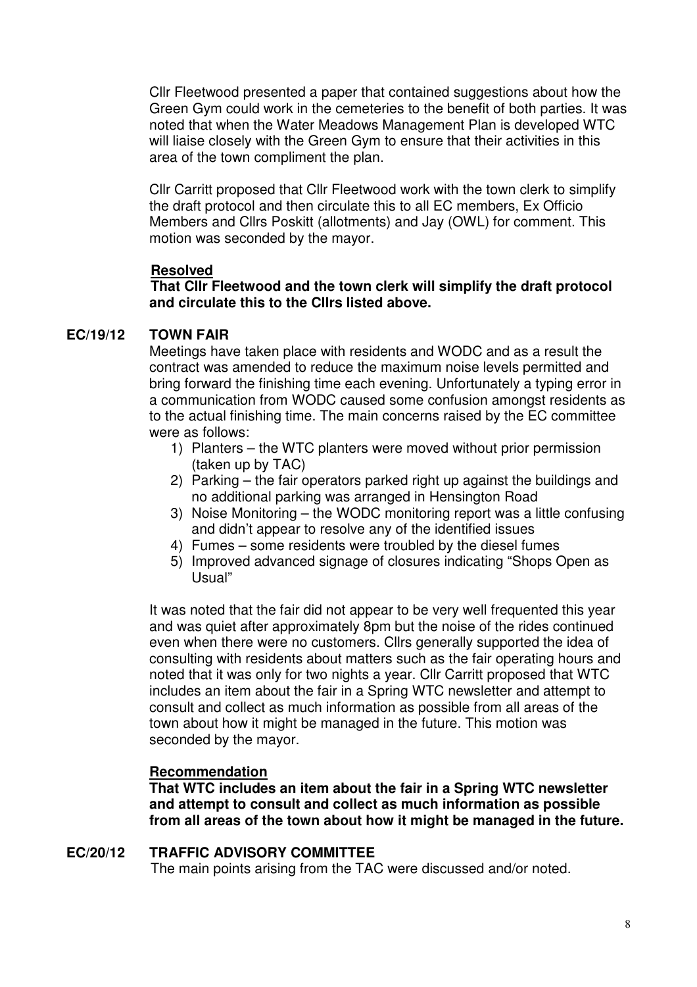Cllr Fleetwood presented a paper that contained suggestions about how the Green Gym could work in the cemeteries to the benefit of both parties. It was noted that when the Water Meadows Management Plan is developed WTC will liaise closely with the Green Gym to ensure that their activities in this area of the town compliment the plan.

Cllr Carritt proposed that Cllr Fleetwood work with the town clerk to simplify the draft protocol and then circulate this to all EC members, Ex Officio Members and Cllrs Poskitt (allotments) and Jay (OWL) for comment. This motion was seconded by the mayor.

### **Resolved**

### **That Cllr Fleetwood and the town clerk will simplify the draft protocol and circulate this to the Cllrs listed above.**

### **EC/19/12 TOWN FAIR**

Meetings have taken place with residents and WODC and as a result the contract was amended to reduce the maximum noise levels permitted and bring forward the finishing time each evening. Unfortunately a typing error in a communication from WODC caused some confusion amongst residents as to the actual finishing time. The main concerns raised by the EC committee were as follows:

- 1) Planters the WTC planters were moved without prior permission (taken up by TAC)
- 2) Parking the fair operators parked right up against the buildings and no additional parking was arranged in Hensington Road
- 3) Noise Monitoring the WODC monitoring report was a little confusing and didn't appear to resolve any of the identified issues
- 4) Fumes some residents were troubled by the diesel fumes
- 5) Improved advanced signage of closures indicating "Shops Open as Usual"

It was noted that the fair did not appear to be very well frequented this year and was quiet after approximately 8pm but the noise of the rides continued even when there were no customers. Cllrs generally supported the idea of consulting with residents about matters such as the fair operating hours and noted that it was only for two nights a year. Cllr Carritt proposed that WTC includes an item about the fair in a Spring WTC newsletter and attempt to consult and collect as much information as possible from all areas of the town about how it might be managed in the future. This motion was seconded by the mayor.

### **Recommendation**

**That WTC includes an item about the fair in a Spring WTC newsletter and attempt to consult and collect as much information as possible from all areas of the town about how it might be managed in the future.** 

# **EC/20/12 TRAFFIC ADVISORY COMMITTEE**

The main points arising from the TAC were discussed and/or noted.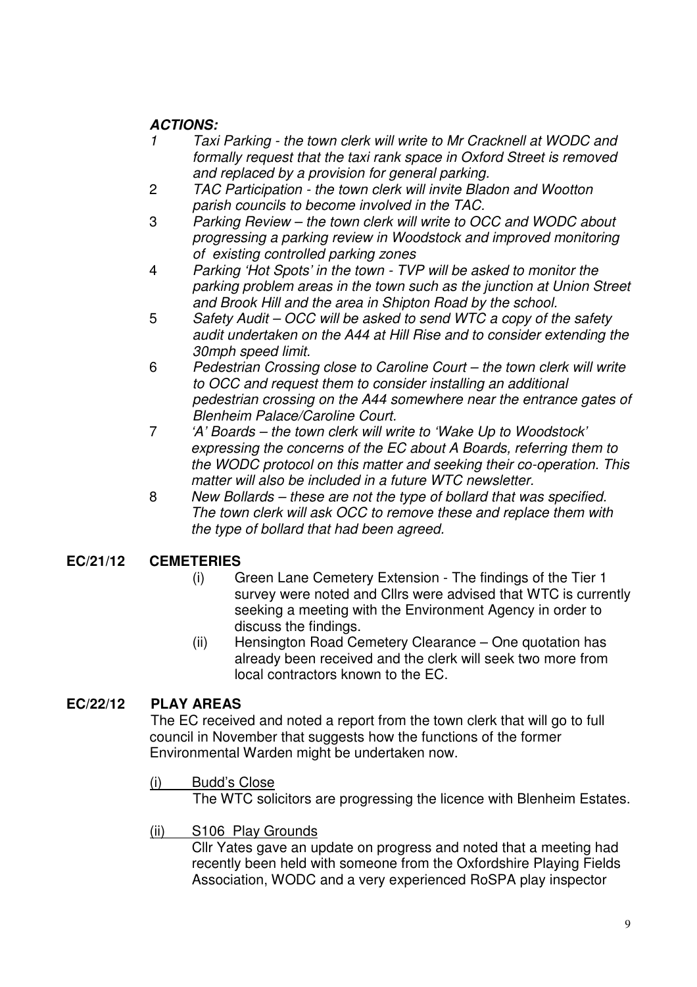### **ACTIONS:**

- 1 Taxi Parking the town clerk will write to Mr Cracknell at WODC and formally request that the taxi rank space in Oxford Street is removed and replaced by a provision for general parking.
- 2 TAC Participation the town clerk will invite Bladon and Wootton parish councils to become involved in the TAC.
- 3 Parking Review the town clerk will write to OCC and WODC about progressing a parking review in Woodstock and improved monitoring of existing controlled parking zones
- 4 Parking 'Hot Spots' in the town TVP will be asked to monitor the parking problem areas in the town such as the junction at Union Street and Brook Hill and the area in Shipton Road by the school.
- 5 Safety Audit OCC will be asked to send WTC a copy of the safety audit undertaken on the A44 at Hill Rise and to consider extending the 30mph speed limit.
- 6 Pedestrian Crossing close to Caroline Court the town clerk will write to OCC and request them to consider installing an additional pedestrian crossing on the A44 somewhere near the entrance gates of Blenheim Palace/Caroline Court.
- 7 'A' Boards the town clerk will write to 'Wake Up to Woodstock' expressing the concerns of the EC about A Boards, referring them to the WODC protocol on this matter and seeking their co-operation. This matter will also be included in a future WTC newsletter.
- 8 New Bollards these are not the type of bollard that was specified. The town clerk will ask OCC to remove these and replace them with the type of bollard that had been agreed.

# **EC/21/12 CEMETERIES**

- (i) Green Lane Cemetery Extension The findings of the Tier 1 survey were noted and Cllrs were advised that WTC is currently seeking a meeting with the Environment Agency in order to discuss the findings.
- (ii) Hensington Road Cemetery Clearance One quotation has already been received and the clerk will seek two more from local contractors known to the EC.

# **EC/22/12 PLAY AREAS**

The EC received and noted a report from the town clerk that will go to full council in November that suggests how the functions of the former Environmental Warden might be undertaken now.

# (i) Budd's Close

The WTC solicitors are progressing the licence with Blenheim Estates.

### (ii) S106 Play Grounds

Cllr Yates gave an update on progress and noted that a meeting had recently been held with someone from the Oxfordshire Playing Fields Association, WODC and a very experienced RoSPA play inspector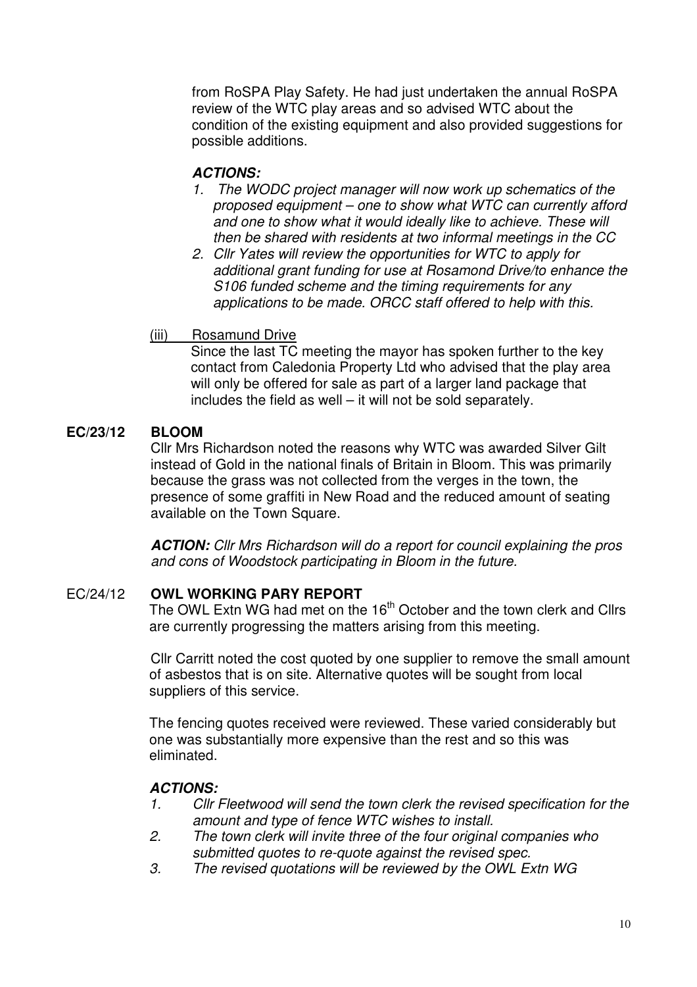from RoSPA Play Safety. He had just undertaken the annual RoSPA review of the WTC play areas and so advised WTC about the condition of the existing equipment and also provided suggestions for possible additions.

### **ACTIONS:**

- 1. The WODC project manager will now work up schematics of the proposed equipment – one to show what WTC can currently afford and one to show what it would ideally like to achieve. These will then be shared with residents at two informal meetings in the CC
- 2. Cllr Yates will review the opportunities for WTC to apply for additional grant funding for use at Rosamond Drive/to enhance the S106 funded scheme and the timing requirements for any applications to be made. ORCC staff offered to help with this.

### (iii) Rosamund Drive

Since the last TC meeting the mayor has spoken further to the key contact from Caledonia Property Ltd who advised that the play area will only be offered for sale as part of a larger land package that includes the field as well – it will not be sold separately.

### **EC/23/12 BLOOM**

Cllr Mrs Richardson noted the reasons why WTC was awarded Silver Gilt instead of Gold in the national finals of Britain in Bloom. This was primarily because the grass was not collected from the verges in the town, the presence of some graffiti in New Road and the reduced amount of seating available on the Town Square.

**ACTION:** Cllr Mrs Richardson will do a report for council explaining the pros and cons of Woodstock participating in Bloom in the future.

### EC/24/12 **OWL WORKING PARY REPORT**

The OWL Extn WG had met on the 16<sup>th</sup> October and the town clerk and Cllrs are currently progressing the matters arising from this meeting.

Cllr Carritt noted the cost quoted by one supplier to remove the small amount of asbestos that is on site. Alternative quotes will be sought from local suppliers of this service.

The fencing quotes received were reviewed. These varied considerably but one was substantially more expensive than the rest and so this was eliminated.

### **ACTIONS:**

- 1. Cllr Fleetwood will send the town clerk the revised specification for the amount and type of fence WTC wishes to install.
- 2. The town clerk will invite three of the four original companies who submitted quotes to re-quote against the revised spec.
- 3. The revised quotations will be reviewed by the OWL Extn WG